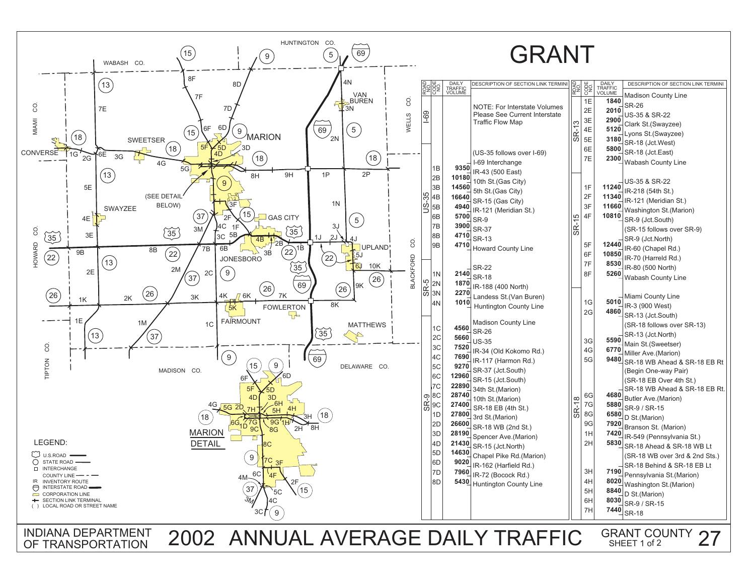